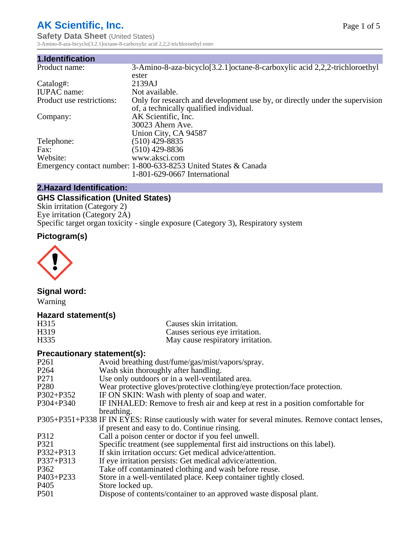# **AK Scientific, Inc.**

**1.Identification**

**Safety Data Sheet (United States)** 3-Amino-8-aza-bicyclo[3.2.1]octane-8-carboxylic acid 2,2,2-trichloroethyl ester

| 1.Identification          |                                                                                                                        |
|---------------------------|------------------------------------------------------------------------------------------------------------------------|
| Product name:             | 3-Amino-8-aza-bicyclo[3.2.1] octane-8-carboxylic acid 2,2,2-trichloroethyl                                             |
|                           | ester                                                                                                                  |
| $Catalog#$ :              | 2139AJ                                                                                                                 |
| <b>IUPAC</b> name:        | Not available.                                                                                                         |
| Product use restrictions: | Only for research and development use by, or directly under the supervision<br>of, a technically qualified individual. |
| Company:                  | AK Scientific, Inc.<br>30023 Ahern Ave.                                                                                |
|                           | Union City, CA 94587                                                                                                   |
| Telephone:                | $(510)$ 429-8835                                                                                                       |
| Fax:                      | (510) 429-8836                                                                                                         |
| Website:                  | www.aksci.com                                                                                                          |
|                           | Emergency contact number: 1-800-633-8253 United States & Canada                                                        |
|                           | 1-801-629-0667 International                                                                                           |

#### **2.Hazard Identification:**

## **GHS Classification (United States)**

Skin irritation (Category 2) Eye irritation (Category 2A) Specific target organ toxicity - single exposure (Category 3), Respiratory system

# **Pictogram(s)**



## **Signal word:**

Warning

## **Hazard statement(s)**

| H315              | Causes skin irritation.           |
|-------------------|-----------------------------------|
| H <sub>3</sub> 19 | Causes serious eye irritation.    |
| H <sub>335</sub>  | May cause respiratory irritation. |

## **Precautionary statement(s):**

| P <sub>261</sub> | Avoid breathing dust/fume/gas/mist/vapors/spray.                                                   |
|------------------|----------------------------------------------------------------------------------------------------|
| P <sub>264</sub> | Wash skin thoroughly after handling.                                                               |
| P <sub>271</sub> | Use only outdoors or in a well-ventilated area.                                                    |
| P <sub>280</sub> | Wear protective gloves/protective clothing/eye protection/face protection.                         |
| P302+P352        | IF ON SKIN: Wash with plenty of soap and water.                                                    |
| $P304 + P340$    | IF INHALED: Remove to fresh air and keep at rest in a position comfortable for                     |
|                  | breathing.                                                                                         |
|                  | P305+P351+P338 IF IN EYES: Rinse cautiously with water for several minutes. Remove contact lenses, |
|                  | if present and easy to do. Continue rinsing.                                                       |
| P312             | Call a poison center or doctor if you feel unwell.                                                 |
| P321             | Specific treatment (see supplemental first aid instructions on this label).                        |
| P332+P313        | If skin irritation occurs: Get medical advice/attention.                                           |
| $P337 + P313$    | If eye irritation persists: Get medical advice/attention.                                          |
| P362             | Take off contaminated clothing and wash before reuse.                                              |
| P403+P233        | Store in a well-ventilated place. Keep container tightly closed.                                   |
| P <sub>405</sub> | Store locked up.                                                                                   |
| P <sub>501</sub> | Dispose of contents/container to an approved waste disposal plant.                                 |
|                  |                                                                                                    |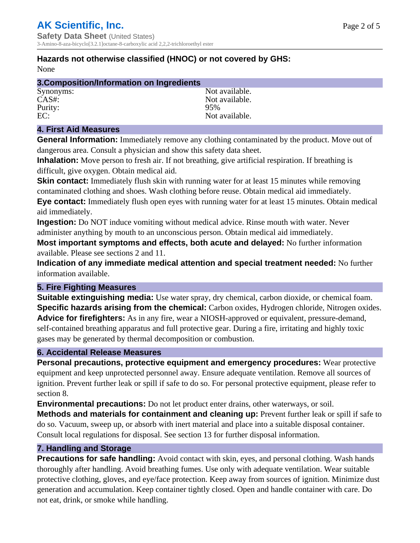## **Hazards not otherwise classified (HNOC) or not covered by GHS:**

None

| 3. Composition/Information on Ingredients |                |
|-------------------------------------------|----------------|
| Synonyms:                                 | Not available. |
| $CAS#$ :                                  | Not available. |
| Purity:                                   | 95%            |
| EC:                                       | Not available. |

## **4. First Aid Measures**

**General Information:** Immediately remove any clothing contaminated by the product. Move out of dangerous area. Consult a physician and show this safety data sheet.

**Inhalation:** Move person to fresh air. If not breathing, give artificial respiration. If breathing is difficult, give oxygen. Obtain medical aid.

**Skin contact:** Immediately flush skin with running water for at least 15 minutes while removing contaminated clothing and shoes. Wash clothing before reuse. Obtain medical aid immediately. **Eye contact:** Immediately flush open eyes with running water for at least 15 minutes. Obtain medical aid immediately.

**Ingestion:** Do NOT induce vomiting without medical advice. Rinse mouth with water. Never administer anything by mouth to an unconscious person. Obtain medical aid immediately.

**Most important symptoms and effects, both acute and delayed:** No further information available. Please see sections 2 and 11.

**Indication of any immediate medical attention and special treatment needed:** No further information available.

## **5. Fire Fighting Measures**

**Suitable extinguishing media:** Use water spray, dry chemical, carbon dioxide, or chemical foam. **Specific hazards arising from the chemical:** Carbon oxides, Hydrogen chloride, Nitrogen oxides. **Advice for firefighters:** As in any fire, wear a NIOSH-approved or equivalent, pressure-demand, self-contained breathing apparatus and full protective gear. During a fire, irritating and highly toxic gases may be generated by thermal decomposition or combustion.

## **6. Accidental Release Measures**

**Personal precautions, protective equipment and emergency procedures:** Wear protective equipment and keep unprotected personnel away. Ensure adequate ventilation. Remove all sources of ignition. Prevent further leak or spill if safe to do so. For personal protective equipment, please refer to section 8.

**Environmental precautions:** Do not let product enter drains, other waterways, or soil.

**Methods and materials for containment and cleaning up:** Prevent further leak or spill if safe to do so. Vacuum, sweep up, or absorb with inert material and place into a suitable disposal container. Consult local regulations for disposal. See section 13 for further disposal information.

#### **7. Handling and Storage**

**Precautions for safe handling:** Avoid contact with skin, eyes, and personal clothing. Wash hands thoroughly after handling. Avoid breathing fumes. Use only with adequate ventilation. Wear suitable protective clothing, gloves, and eye/face protection. Keep away from sources of ignition. Minimize dust generation and accumulation. Keep container tightly closed. Open and handle container with care. Do not eat, drink, or smoke while handling.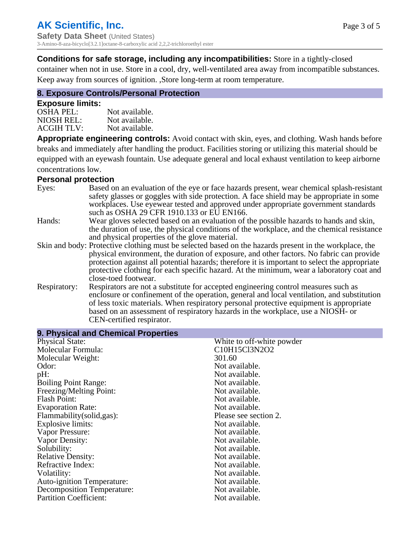## **Conditions for safe storage, including any incompatibilities:** Store in a tightly-closed

container when not in use. Store in a cool, dry, well-ventilated area away from incompatible substances. Keep away from sources of ignition. ,Store long-term at room temperature.

## **8. Exposure Controls/Personal Protection**

#### **Exposure limits:**

| <b>OSHA PEL:</b>  | Not available. |
|-------------------|----------------|
| NIOSH REL:        | Not available. |
| <b>ACGIH TLV:</b> | Not available. |

**Appropriate engineering controls:** Avoid contact with skin, eyes, and clothing. Wash hands before breaks and immediately after handling the product. Facilities storing or utilizing this material should be equipped with an eyewash fountain. Use adequate general and local exhaust ventilation to keep airborne concentrations low.

#### **Personal protection**

| Eyes:        | Based on an evaluation of the eye or face hazards present, wear chemical splash-resistant<br>safety glasses or goggles with side protection. A face shield may be appropriate in some<br>workplaces. Use eyewear tested and approved under appropriate government standards<br>such as OSHA 29 CFR 1910.133 or EU EN166. |
|--------------|--------------------------------------------------------------------------------------------------------------------------------------------------------------------------------------------------------------------------------------------------------------------------------------------------------------------------|
| Hands:       | Wear gloves selected based on an evaluation of the possible hazards to hands and skin,                                                                                                                                                                                                                                   |
|              | the duration of use, the physical conditions of the workplace, and the chemical resistance<br>and physical properties of the glove material.                                                                                                                                                                             |
|              | Skin and body: Protective clothing must be selected based on the hazards present in the workplace, the                                                                                                                                                                                                                   |
|              | physical environment, the duration of exposure, and other factors. No fabric can provide                                                                                                                                                                                                                                 |
|              | protection against all potential hazards; therefore it is important to select the appropriate<br>protective clothing for each specific hazard. At the minimum, wear a laboratory coat and                                                                                                                                |
|              | close-toed footwear.                                                                                                                                                                                                                                                                                                     |
| Respiratory: | Respirators are not a substitute for accepted engineering control measures such as<br>enclosure or confinement of the operation, general and local ventilation, and substitution<br>of less toxic materials. When respiratory personal protective equipment is appropriate                                               |
|              | based on an assessment of respiratory hazards in the workplace, use a NIOSH- or                                                                                                                                                                                                                                          |
|              | CEN-certified respirator.                                                                                                                                                                                                                                                                                                |

| 9. Physical and Chemical Properties |                           |
|-------------------------------------|---------------------------|
| <b>Physical State:</b>              | White to off-white powder |
| Molecular Formula:                  | C10H15Cl3N2O2             |
| Molecular Weight:                   | 301.60                    |
| Odor:                               | Not available.            |
| pH:                                 | Not available.            |
| <b>Boiling Point Range:</b>         | Not available.            |
| Freezing/Melting Point:             | Not available.            |
| Flash Point:                        | Not available.            |
| <b>Evaporation Rate:</b>            | Not available.            |
| Flammability (solid, gas):          | Please see section 2.     |
| <b>Explosive limits:</b>            | Not available.            |
| Vapor Pressure:                     | Not available.            |
| Vapor Density:                      | Not available.            |
| Solubility:                         | Not available.            |
| <b>Relative Density:</b>            | Not available.            |
| Refractive Index:                   | Not available.            |
| Volatility:                         | Not available.            |
| <b>Auto-ignition Temperature:</b>   | Not available.            |
| <b>Decomposition Temperature:</b>   | Not available.            |
| <b>Partition Coefficient:</b>       | Not available.            |
|                                     |                           |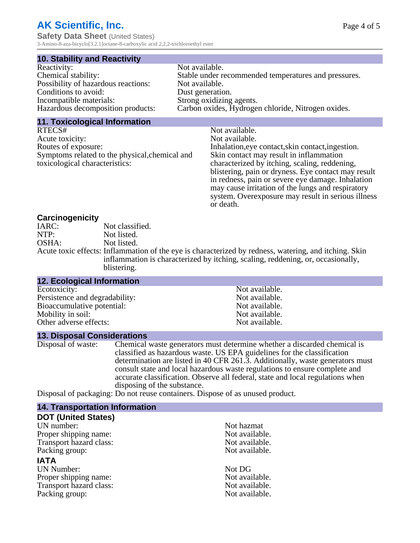# **AK Scientific, Inc.**

**Safety Data Sheet** (United States) 3-Amino-8-aza-bicyclo[3.2.1]octane-8-carboxylic acid 2,2,2-trichloroethyl ester

#### **10. Stability and Reactivity**

| Reactivity:                         | Not available.                                       |
|-------------------------------------|------------------------------------------------------|
| Chemical stability:                 | Stable under recommended temperatures and pressures. |
| Possibility of hazardous reactions: | Not available.                                       |
| Conditions to avoid:                | Dust generation.                                     |
| Incompatible materials:             | Strong oxidizing agents.                             |
| Hazardous decomposition products:   | Carbon oxides, Hydrogen chloride, Nitrogen oxides.   |

#### **11. Toxicological Information**

| RTECS#                                         | Not available.                                      |
|------------------------------------------------|-----------------------------------------------------|
| Acute toxicity:                                | Not available.                                      |
| Routes of exposure:                            | Inhalation, eye contact, skin contact, ingestion.   |
| Symptoms related to the physical, chemical and | Skin contact may result in inflammation             |
| toxicological characteristics:                 | characterized by itching, scaling, reddening,       |
|                                                | blistering, pain or dryness. Eye contact may result |
|                                                | in redness, pain or severe eye damage. Inhalation   |
|                                                | may cause irritation of the lungs and respiratory   |
|                                                | system. Overexposure may result in serious illness  |

or death.

#### **Carcinogenicity**

| IARC: | Not classified.                                                                                       |
|-------|-------------------------------------------------------------------------------------------------------|
| NTP:  | Not listed.                                                                                           |
| OSHA: | Not listed.                                                                                           |
|       | Acute toxic effects: Inflammation of the eye is characterized by redness, watering, and itching. Skin |
|       | inflammation is characterized by itching, scaling, reddening, or, occasionally,                       |
|       | blistering.                                                                                           |

| <b>12. Ecological Information</b> |                |  |
|-----------------------------------|----------------|--|
| Ecotoxicity:                      | Not available. |  |
| Persistence and degradability:    | Not available. |  |
| Bioaccumulative potential:        | Not available. |  |
| Mobility in soil:                 | Not available. |  |
| Other adverse effects:            | Not available. |  |

#### **13. Disposal Considerations**

Disposal of waste: Chemical waste generators must determine whether a discarded chemical is classified as hazardous waste. US EPA guidelines for the classification determination are listed in 40 CFR 261.3. Additionally, waste generators must consult state and local hazardous waste regulations to ensure complete and accurate classification. Observe all federal, state and local regulations when disposing of the substance.

Disposal of packaging: Do not reuse containers. Dispose of as unused product.

| Not hazmat     |
|----------------|
| Not available. |
| Not available. |
| Not available. |
|                |
| Not DG         |
| Not available. |
| Not available. |
| Not available. |
|                |